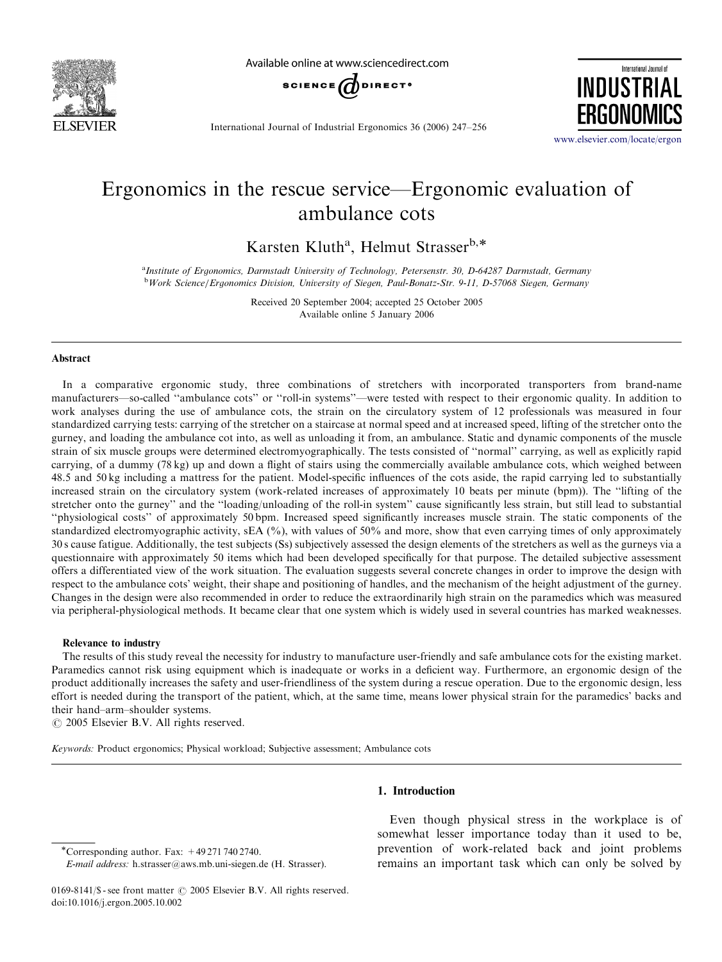

Available online at www.sciencedirect.com



International Journal of INDUSTRIAL **ERGONON** 

International Journal of Industrial Ergonomics 36 (2006) 247–256

<www.elsevier.com/locate/ergon>

## Ergonomics in the rescue service—Ergonomic evaluation of ambulance cots

Karsten Kluth<sup>a</sup>, Helmut Strasser<sup>b,\*</sup>

a Institute of Ergonomics, Darmstadt University of Technology, Petersenstr. 30, D-64287 Darmstadt, Germany <sup>b</sup> Work Science/Ergonomics Division, University of Siegen, Paul-Bonatz-Str. 9-11, D-57068 Siegen, Germany

> Received 20 September 2004; accepted 25 October 2005 Available online 5 January 2006

#### Abstract

In a comparative ergonomic study, three combinations of stretchers with incorporated transporters from brand-name manufacturers—so-called ''ambulance cots'' or ''roll-in systems''—were tested with respect to their ergonomic quality. In addition to work analyses during the use of ambulance cots, the strain on the circulatory system of 12 professionals was measured in four standardized carrying tests: carrying of the stretcher on a staircase at normal speed and at increased speed, lifting of the stretcher onto the gurney, and loading the ambulance cot into, as well as unloading it from, an ambulance. Static and dynamic components of the muscle strain of six muscle groups were determined electromyographically. The tests consisted of ''normal'' carrying, as well as explicitly rapid carrying, of a dummy (78 kg) up and down a flight of stairs using the commercially available ambulance cots, which weighed between 48.5 and 50 kg including a mattress for the patient. Model-specific influences of the cots aside, the rapid carrying led to substantially increased strain on the circulatory system (work-related increases of approximately 10 beats per minute (bpm)). The ''lifting of the stretcher onto the gurney'' and the ''loading/unloading of the roll-in system'' cause significantly less strain, but still lead to substantial ''physiological costs'' of approximately 50 bpm. Increased speed significantly increases muscle strain. The static components of the standardized electromyographic activity, sEA (%), with values of 50% and more, show that even carrying times of only approximately 30 s cause fatigue. Additionally, the test subjects (Ss) subjectively assessed the design elements of the stretchers as well as the gurneys via a questionnaire with approximately 50 items which had been developed specifically for that purpose. The detailed subjective assessment offers a differentiated view of the work situation. The evaluation suggests several concrete changes in order to improve the design with respect to the ambulance cots' weight, their shape and positioning of handles, and the mechanism of the height adjustment of the gurney. Changes in the design were also recommended in order to reduce the extraordinarily high strain on the paramedics which was measured via peripheral-physiological methods. It became clear that one system which is widely used in several countries has marked weaknesses.

#### Relevance to industry

The results of this study reveal the necessity for industry to manufacture user-friendly and safe ambulance cots for the existing market. Paramedics cannot risk using equipment which is inadequate or works in a deficient way. Furthermore, an ergonomic design of the product additionally increases the safety and user-friendliness of the system during a rescue operation. Due to the ergonomic design, less effort is needed during the transport of the patient, which, at the same time, means lower physical strain for the paramedics' backs and their hand–arm–shoulder systems.

 $C$  2005 Elsevier B.V. All rights reserved.

Keywords: Product ergonomics; Physical workload; Subjective assessment; Ambulance cots

### 1. Introduction

\*Corresponding author. Fax:  $+492717402740$ .

E-mail address: h.strasser@aws.mb.uni-siegen.de (H. Strasser).

Even though physical stress in the workplace is of somewhat lesser importance today than it used to be, prevention of work-related back and joint problems remains an important task which can only be solved by

<sup>0169-8141/\$ -</sup> see front matter  $\odot$  2005 Elsevier B.V. All rights reserved. doi:10.1016/j.ergon.2005.10.002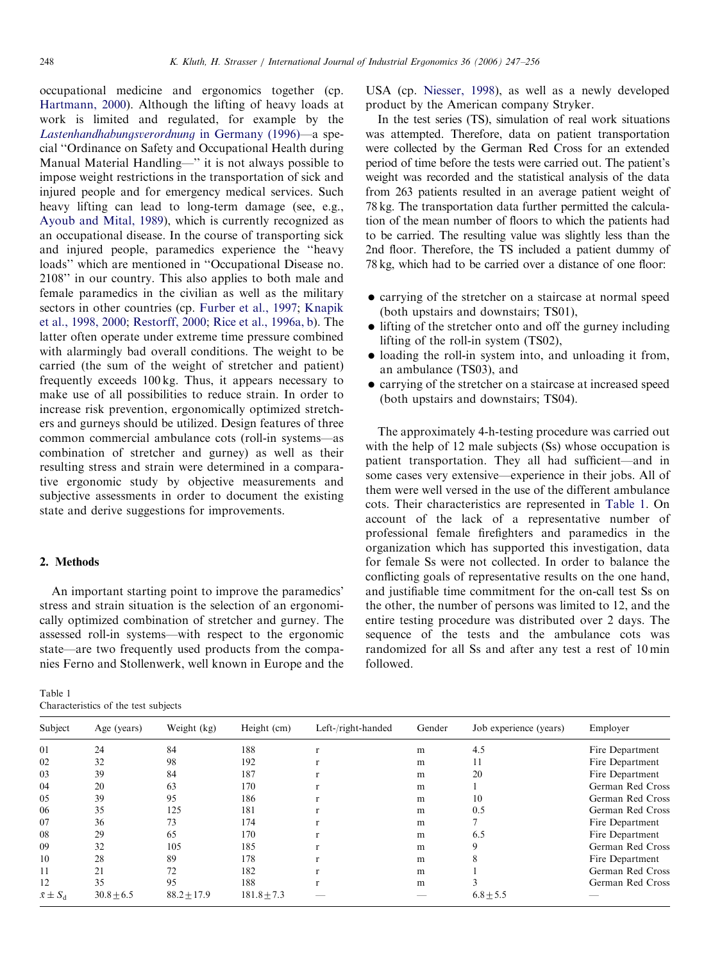occupational medicine and ergonomics together (cp. [Hartmann, 2000](#page--1-0)). Although the lifting of heavy loads at work is limited and regulated, for example by the [Lastenhandhabungsverordnung](#page--1-0) in Germany (1996)—a special ''Ordinance on Safety and Occupational Health during Manual Material Handling—'' it is not always possible to impose weight restrictions in the transportation of sick and injured people and for emergency medical services. Such heavy lifting can lead to long-term damage (see, e.g., [Ayoub and Mital, 1989](#page--1-0)), which is currently recognized as an occupational disease. In the course of transporting sick and injured people, paramedics experience the ''heavy loads'' which are mentioned in ''Occupational Disease no. 2108'' in our country. This also applies to both male and female paramedics in the civilian as well as the military sectors in other countries (cp. [Furber et al., 1997](#page--1-0); [Knapik](#page--1-0) [et al., 1998, 2000](#page--1-0); [Restorff, 2000](#page--1-0); [Rice et al., 1996a, b\)](#page--1-0). The latter often operate under extreme time pressure combined with alarmingly bad overall conditions. The weight to be carried (the sum of the weight of stretcher and patient) frequently exceeds 100 kg. Thus, it appears necessary to make use of all possibilities to reduce strain. In order to increase risk prevention, ergonomically optimized stretchers and gurneys should be utilized. Design features of three common commercial ambulance cots (roll-in systems—as combination of stretcher and gurney) as well as their resulting stress and strain were determined in a comparative ergonomic study by objective measurements and subjective assessments in order to document the existing state and derive suggestions for improvements.

### 2. Methods

An important starting point to improve the paramedics' stress and strain situation is the selection of an ergonomically optimized combination of stretcher and gurney. The assessed roll-in systems—with respect to the ergonomic state—are two frequently used products from the companies Ferno and Stollenwerk, well known in Europe and the

| Table 1                              |  |  |
|--------------------------------------|--|--|
| Characteristics of the test subjects |  |  |

USA (cp. [Niesser, 1998](#page--1-0)), as well as a newly developed product by the American company Stryker.

In the test series (TS), simulation of real work situations was attempted. Therefore, data on patient transportation were collected by the German Red Cross for an extended period of time before the tests were carried out. The patient's weight was recorded and the statistical analysis of the data from 263 patients resulted in an average patient weight of 78 kg. The transportation data further permitted the calculation of the mean number of floors to which the patients had to be carried. The resulting value was slightly less than the 2nd floor. Therefore, the TS included a patient dummy of 78 kg, which had to be carried over a distance of one floor:

- carrying of the stretcher on a staircase at normal speed (both upstairs and downstairs; TS01),
- lifting of the stretcher onto and off the gurney including lifting of the roll-in system (TS02),
- loading the roll-in system into, and unloading it from, an ambulance (TS03), and
- carrying of the stretcher on a staircase at increased speed (both upstairs and downstairs; TS04).

The approximately 4-h-testing procedure was carried out with the help of 12 male subjects (Ss) whose occupation is patient transportation. They all had sufficient—and in some cases very extensive—experience in their jobs. All of them were well versed in the use of the different ambulance cots. Their characteristics are represented in Table 1. On account of the lack of a representative number of professional female firefighters and paramedics in the organization which has supported this investigation, data for female Ss were not collected. In order to balance the conflicting goals of representative results on the one hand, and justifiable time commitment for the on-call test Ss on the other, the number of persons was limited to 12, and the entire testing procedure was distributed over 2 days. The sequence of the tests and the ambulance cots was randomized for all Ss and after any test a rest of 10 min followed.

| Subject           | Age (years)    | Weight (kg)   | Height (cm)     | Left-/right-handed | Gender | Job experience (years) | Employer         |
|-------------------|----------------|---------------|-----------------|--------------------|--------|------------------------|------------------|
| 01                | 24             | 84            | 188             |                    | m      | 4.5                    | Fire Department  |
| 02                | 32             | 98            | 192             |                    | m      | 11                     | Fire Department  |
| 03                | 39             | 84            | 187             |                    | m      | 20                     | Fire Department  |
| 04                | 20             | 63            | 170             |                    | m      |                        | German Red Cross |
| 05                | 39             | 95            | 186             |                    | m      | 10                     | German Red Cross |
| 06                | 35             | 125           | 181             |                    | m      | 0.5                    | German Red Cross |
| 07                | 36             | 73            | 174             |                    | m      |                        | Fire Department  |
| 08                | 29             | 65            | 170             |                    | m      | 6.5                    | Fire Department  |
| 09                | 32             | 105           | 185             |                    | m      |                        | German Red Cross |
| 10                | 28             | 89            | 178             |                    | m      |                        | Fire Department  |
| 11                | 21             | 72            | 182             |                    | m      |                        | German Red Cross |
| 12                | 35             | 95            | 188             |                    | m      |                        | German Red Cross |
| $\bar{x} \pm S_d$ | $30.8 \pm 6.5$ | $88.2 + 17.9$ | $181.8 \pm 7.3$ |                    |        | $6.8 \pm 5.5$          |                  |